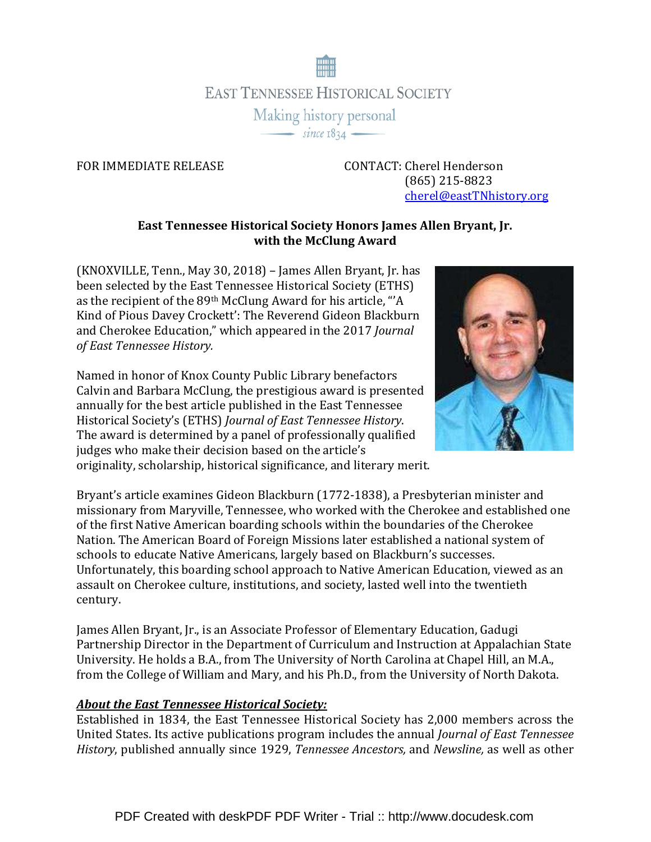

FOR IMMEDIATE RELEASE CONTACT: Cherel Henderson (865) 215-8823 cherel@eastTNhistory.org

## East Tennessee Historical Society Honors James Allen Bryant, Jr. with the McClung Award

(KNOXVILLE, Tenn., May 30, 2018) – James Allen Bryant, Jr. has been selected by the East Tennessee Historical Society (ETHS) as the recipient of the 89th McClung Award for his article, "'A Kind of Pious Davey Crockett': The Reverend Gideon Blackburn and Cherokee Education," which appeared in the 2017 Journal of East Tennessee History.

Named in honor of Knox County Public Library benefactors Calvin and Barbara McClung, the prestigious award is presented annually for the best article published in the East Tennessee Historical Society's (ETHS) Journal of East Tennessee History. The award is determined by a panel of professionally qualified judges who make their decision based on the article's originality, scholarship, historical significance, and literary merit.



Bryant's article examines Gideon Blackburn (1772-1838), a Presbyterian minister and missionary from Maryville, Tennessee, who worked with the Cherokee and established one of the first Native American boarding schools within the boundaries of the Cherokee Nation. The American Board of Foreign Missions later established a national system of schools to educate Native Americans, largely based on Blackburn's successes. Unfortunately, this boarding school approach to Native American Education, viewed as an assault on Cherokee culture, institutions, and society, lasted well into the twentieth century.

James Allen Bryant, Jr., is an Associate Professor of Elementary Education, Gadugi Partnership Director in the Department of Curriculum and Instruction at Appalachian State University. He holds a B.A., from The University of North Carolina at Chapel Hill, an M.A., from the College of William and Mary, and his Ph.D., from the University of North Dakota.

## About the East Tennessee Historical Society:

Established in 1834, the East Tennessee Historical Society has 2,000 members across the United States. Its active publications program includes the annual Journal of East Tennessee History, published annually since 1929, Tennessee Ancestors, and Newsline, as well as other